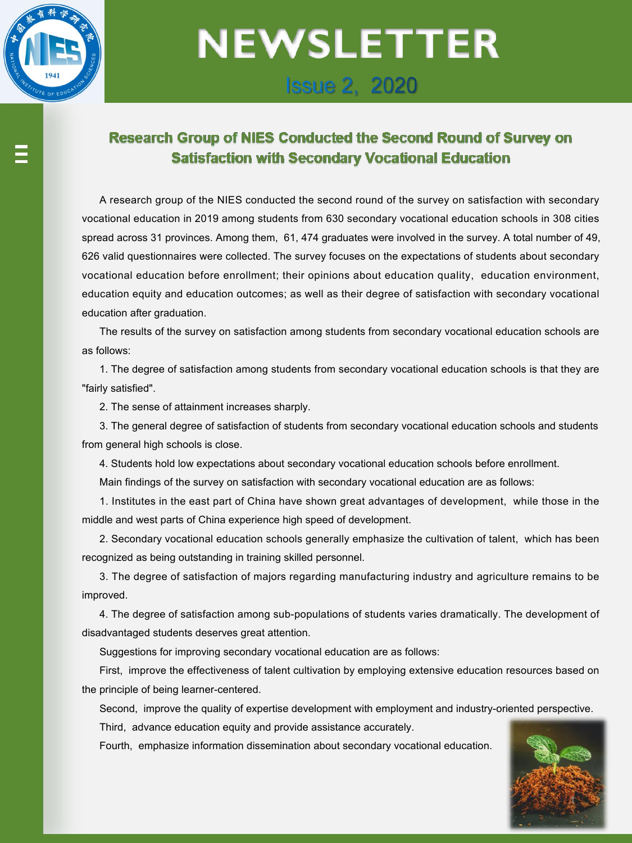

## **NEWSLETTER Issue 2, 2020**

### **Research Group of NIES Conducted the Second Round of Survey on Satisfaction with Secondary Vocational Education**

A research group of the NIES conducted the second round of the survey on satisfaction with secondary vocational education in 2019 among students from 630 secondary vocational education schools in 308 cities spread across 31 provinces. Among them, 61, 474 graduates were involved in the survey. A total number of 49, 626 valid questionnaires were collected. The survey focuses on the expectations of students about secondary vocational education before enrollment; their opinions about education quality, education environment, education equity and education outcomes; as well as their degree of satisfaction with secondary vocational education after graduation.

The results of the survey on satisfaction among students from secondary vocational education schools are as follows:

1. The degree of satisfaction among students from secondary vocational education schools is that they are "fairly satisfied".

2. The sense of attainment increases sharply.

3. The general degree of satisfaction of students from secondary vocational education schools and students from general high schools is close.

4. Students hold low expectations about secondary vocational education schools before enrollment.

Main findings of the survey on satisfaction with secondary vocational education are as follows:

1. Institutes in the east part of China have shown great advantages of development, while those in the middle and west parts of China experience high speed of development.

2. Secondary vocational education schools generally emphasize the cultivation of talent, which has been recognized as being outstanding in training skilled personnel.

3. The degree of satisfaction of majors regarding manufacturing industry and agriculture remains to be improved.

4. The degree of satisfaction among sub-populations of students varies dramatically. The development of disadvantaged students deserves great attention.

Suggestions for improving secondary vocational education are as follows:

First, improve the effectiveness of talent cultivation by employing extensive education resources based on the principle of being learner-centered.

Second, improve the quality of expertise development with employment and industry-oriented perspective.

Third, advance education equity and provide assistance accurately.

Fourth, emphasize information dissemination about secondary vocational education.

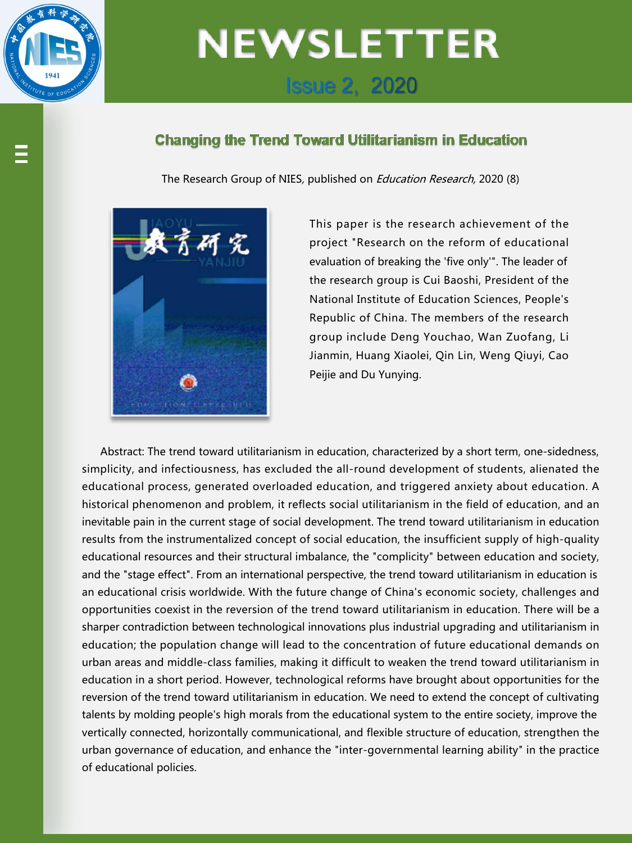

# **NEWSLETTER Issue 2, 2020**

#### **Changing the Trend Toward Utilitarianism in Education**

The Research Group of NIES, published on *Education Research*, 2020 (8)



This paper is the research achievement of the project "Research on the reform of educational evaluation of breaking the 'five only'". The leader of the research group is Cui Baoshi, President of the National Institute of Education Sciences, People's Republic of China.The members of the research group include Deng Youchao, Wan Zuofang, Li Jianmin, Huang Xiaolei, Qin Lin, Weng Qiuyi, Cao Peijie and Du Yunying.

Abstract: The trend toward utilitarianism in education, characterized by a short term, one-sidedness, simplicity, and infectiousness, has excluded the all-round development of students, alienated the educational process, generated overloaded education, and triggered anxiety about education. A historical phenomenon and problem, it reflects social utilitarianism in the field of education, and an inevitable pain in the current stage of social development. The trend toward utilitarianism in education results from the instrumentalized concept of social education, the insufficient supply of high-quality educational resources and their structural imbalance, the "complicity" between education and society, and the "stage effect". From an international perspective, the trend toward utilitarianism in education is an educational crisis worldwide. With the future change of China's economic society, challenges and opportunities coexist in the reversion of the trend toward utilitarianism in education. There will be a sharper contradiction between technological innovations plus industrial upgrading and utilitarianism in education; the population change will lead to the concentration of future educational demands on urban areas and middle-class families, making it difficult to weaken the trend toward utilitarianism in education in a short period. However, technological reforms have brought about opportunities for the reversion of the trend toward utilitarianism in education. We need to extend the concept of cultivating talents by molding people's high morals from the educational system to the entire society, improve the vertically connected, horizontally communicational, and flexible structure of education, strengthen the urban governance of education, and enhance the "inter-governmental learning ability"in the practice of educational policies.